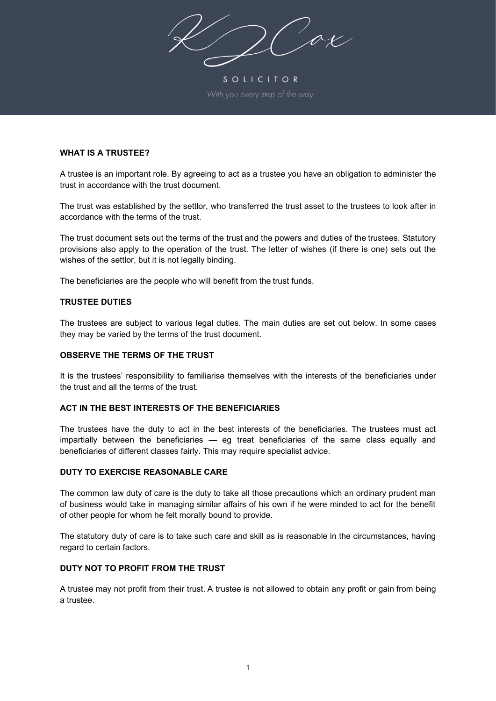ax

SOLICITOR

## **WHAT IS A TRUSTEE?**

A trustee is an important role. By agreeing to act as a trustee you have an obligation to administer the trust in accordance with the trust document.

The trust was established by the settlor, who transferred the trust asset to the trustees to look after in accordance with the terms of the trust.

The trust document sets out the terms of the trust and the powers and duties of the trustees. Statutory provisions also apply to the operation of the trust. The letter of wishes (if there is one) sets out the wishes of the settlor, but it is not legally binding.

The beneficiaries are the people who will benefit from the trust funds.

### **TRUSTEE DUTIES**

The trustees are subject to various legal duties. The main duties are set out below. In some cases they may be varied by the terms of the trust document.

### **OBSERVE THE TERMS OF THE TRUST**

It is the trustees' responsibility to familiarise themselves with the interests of the beneficiaries under the trust and all the terms of the trust.

# **ACT IN THE BEST INTERESTS OF THE BENEFICIARIES**

The trustees have the duty to act in the best interests of the beneficiaries. The trustees must act impartially between the beneficiaries — eg treat beneficiaries of the same class equally and beneficiaries of different classes fairly. This may require specialist advice.

### **DUTY TO EXERCISE REASONABLE CARE**

The common law duty of care is the duty to take all those precautions which an ordinary prudent man of business would take in managing similar affairs of his own if he were minded to act for the benefit of other people for whom he felt morally bound to provide.

The statutory duty of care is to take such care and skill as is reasonable in the circumstances, having regard to certain factors.

### **DUTY NOT TO PROFIT FROM THE TRUST**

A trustee may not profit from their trust. A trustee is not allowed to obtain any profit or gain from being a trustee.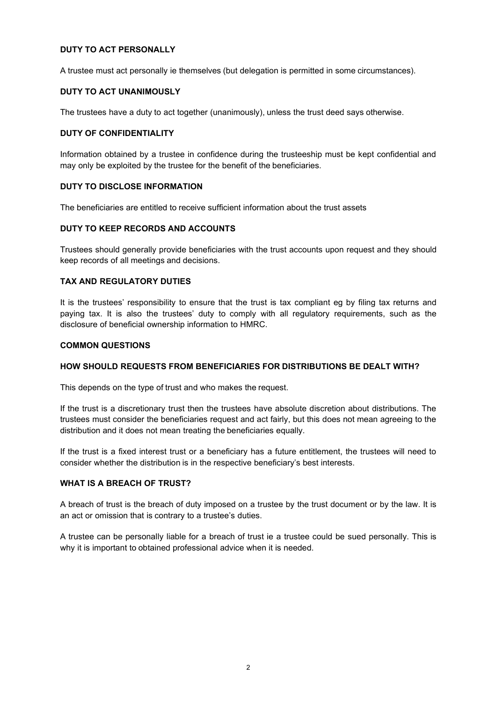# **DUTY TO ACT PERSONALLY**

A trustee must act personally ie themselves (but delegation is permitted in some circumstances).

## **DUTY TO ACT UNANIMOUSLY**

The trustees have a duty to act together (unanimously), unless the trust deed says otherwise.

## **DUTY OF CONFIDENTIALITY**

Information obtained by a trustee in confidence during the trusteeship must be kept confidential and may only be exploited by the trustee for the benefit of the beneficiaries.

# **DUTY TO DISCLOSE INFORMATION**

The beneficiaries are entitled to receive sufficient information about the trust assets

# **DUTY TO KEEP RECORDS AND ACCOUNTS**

Trustees should generally provide beneficiaries with the trust accounts upon request and they should keep records of all meetings and decisions.

# **TAX AND REGULATORY DUTIES**

It is the trustees' responsibility to ensure that the trust is tax compliant eg by filing tax returns and paying tax. It is also the trustees' duty to comply with all regulatory requirements, such as the disclosure of beneficial ownership information to HMRC.

## **COMMON QUESTIONS**

# **HOW SHOULD REQUESTS FROM BENEFICIARIES FOR DISTRIBUTIONS BE DEALT WITH?**

This depends on the type of trust and who makes the request.

If the trust is a discretionary trust then the trustees have absolute discretion about distributions. The trustees must consider the beneficiaries request and act fairly, but this does not mean agreeing to the distribution and it does not mean treating the beneficiaries equally.

If the trust is a fixed interest trust or a beneficiary has a future entitlement, the trustees will need to consider whether the distribution is in the respective beneficiary's best interests.

# **WHAT IS A BREACH OF TRUST?**

A breach of trust is the breach of duty imposed on a trustee by the trust document or by the law. It is an act or omission that is contrary to a trustee's duties.

A trustee can be personally liable for a breach of trust ie a trustee could be sued personally. This is why it is important to obtained professional advice when it is needed.